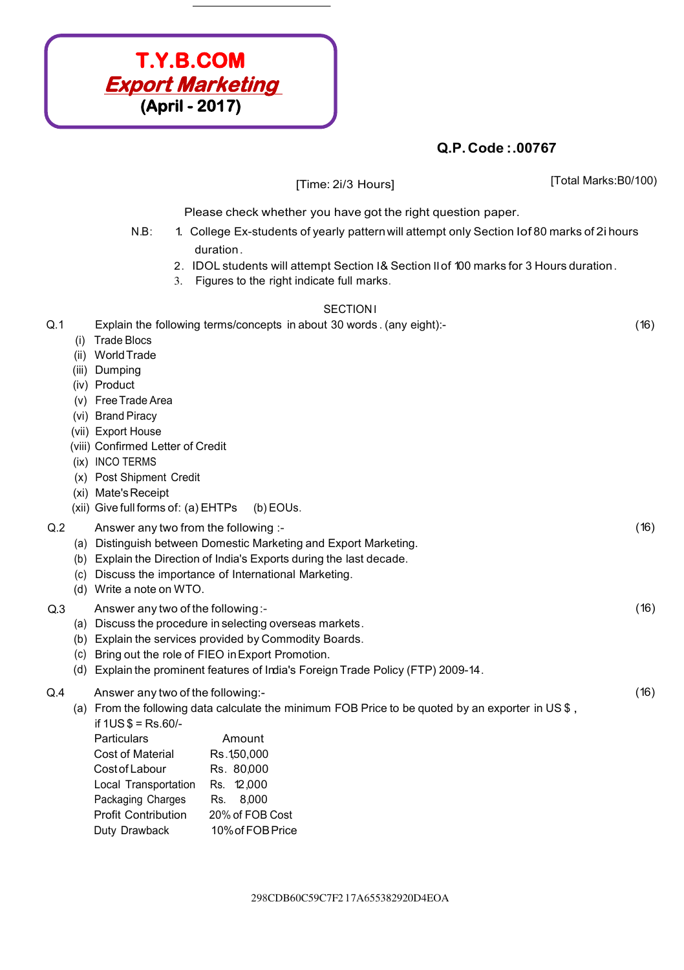

|                 |                                                                                                                                                                                                                                                                                                          | [Time: 2i/3 Hours]                                                                                                                                                                                                                                                                                      |                                                                                                                                                                                       | [Total Marks:B0/100) |  |  |  |  |  |
|-----------------|----------------------------------------------------------------------------------------------------------------------------------------------------------------------------------------------------------------------------------------------------------------------------------------------------------|---------------------------------------------------------------------------------------------------------------------------------------------------------------------------------------------------------------------------------------------------------------------------------------------------------|---------------------------------------------------------------------------------------------------------------------------------------------------------------------------------------|----------------------|--|--|--|--|--|
|                 |                                                                                                                                                                                                                                                                                                          | Please check whether you have got the right question paper.                                                                                                                                                                                                                                             |                                                                                                                                                                                       |                      |  |  |  |  |  |
|                 | $N.B$ :<br>3.                                                                                                                                                                                                                                                                                            | duration.<br>Figures to the right indicate full marks.                                                                                                                                                                                                                                                  | 1. College Ex-students of yearly pattern will attempt only Section Iof 80 marks of 2i hours<br>2. IDOL students will attempt Section 1& Section II of 100 marks for 3 Hours duration. |                      |  |  |  |  |  |
| <b>SECTION1</b> |                                                                                                                                                                                                                                                                                                          |                                                                                                                                                                                                                                                                                                         |                                                                                                                                                                                       |                      |  |  |  |  |  |
| Q.1             | <b>Trade Blocs</b><br>(1)<br>(ii) World Trade<br>Dumping<br>(iii)<br>(iv) Product<br>Free Trade Area<br>(V)<br>(vi) Brand Piracy<br>(vii) Export House<br>(viii) Confirmed Letter of Credit<br>(ix) INCO TERMS<br>(x) Post Shipment Credit<br>(xi) Mate's Receipt<br>(xii) Give full forms of: (a) EHTPs | Explain the following terms/concepts in about 30 words. (any eight):-<br>(b) EOUs.                                                                                                                                                                                                                      |                                                                                                                                                                                       | (16)                 |  |  |  |  |  |
| Q.2             | Answer any two from the following :-<br>(d) Write a note on WTO.                                                                                                                                                                                                                                         | (a) Distinguish between Domestic Marketing and Export Marketing.<br>(b) Explain the Direction of India's Exports during the last decade.<br>(c) Discuss the importance of International Marketing.                                                                                                      |                                                                                                                                                                                       | (16)                 |  |  |  |  |  |
| Q.3             | (c)                                                                                                                                                                                                                                                                                                      | (16)<br>Answer any two of the following:-<br>(a) Discuss the procedure in selecting overseas markets.<br>(b) Explain the services provided by Commodity Boards.<br>Bring out the role of FIEO in Export Promotion.<br>(d) Explain the prominent features of India's Foreign Trade Policy (FTP) 2009-14. |                                                                                                                                                                                       |                      |  |  |  |  |  |
| Q.4             | Answer any two of the following:-<br>if $1US $ = Rs.60/$ -<br>Particulars<br><b>Cost of Material</b><br>Cost of Labour<br>Local Transportation<br>Packaging Charges<br><b>Profit Contribution</b><br>Duty Drawback                                                                                       | Amount<br>Rs.150,000<br>Rs. 80,000<br>Rs. 12,000<br>8,000<br>Rs.<br>20% of FOB Cost<br>10% of FOB Price                                                                                                                                                                                                 | (a) From the following data calculate the minimum FOB Price to be quoted by an exporter in US\$,                                                                                      | (16)                 |  |  |  |  |  |

298CDB60C59C7F2 l 7A655382920D4EOA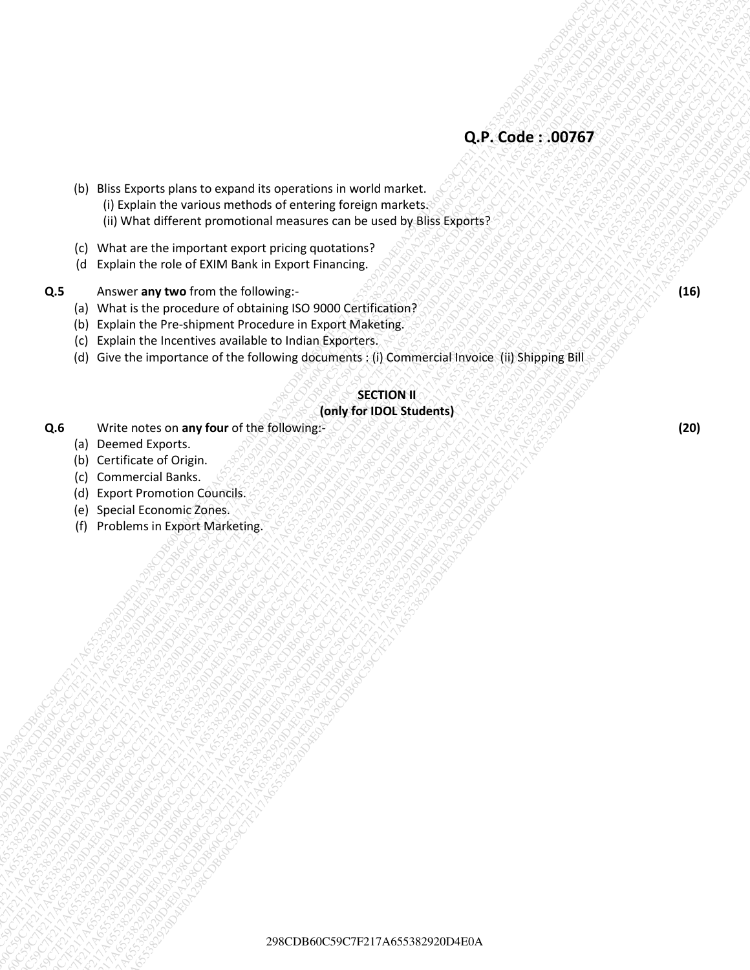- 29<br>
29 Bis Leave the magnitude and committen in world mechanical<br>
29 Bis Leave the magnitude and committen and world mechanical<br>
20 Bis Matter Here produced in the magnitude and committed<br>
20 Matter Here produced in the ma 29<br>
29. Didia Capans plans to example is spentators interviews movements.<br>
(it was chosen to example movements of protocole polymerical companies are modely plans the protocole polymerical companies of protocole polymerica 298CM Num Experime subsets conservate the conservation is even of material<br>
(C) What difference provided on the ratio is even on the ratio is even on the ratio is a conservate of conservations of the ratio is a conservate 29 BBC Cycles Company and Cycles Company and Cycles Company and Cycles Company and Cycles Company and Cycles Company and Cycles Company and Cycles Company and Cycles Company and Cycles Company and Cycles Company and Cycle 29 Rist Profession and the content of the content of the content of the content of the content of the content of the content of the content of the content of the content of the content of the content of the content of the 29<br>
29 Mini Francisco di menari americana di menari americana di menari americana di menari americana di menari americana di menari americana di menari americana di menari americana di menari americana di menari americana 29 B B B Location Stress to provide the constraints well entered to the constraints of the constraints of the constraints of the constraints of the constraints of the constraints of the constraints of the constraints of th 29 B B B Location Stress to provide the constraints well entered to the constraints of the constraints of the constraints of the constraints of the constraints of the constraints of the constraints of the constraints of th 29 B B B Location Stress to provide the constraints well entered to the constraints of the constraints of the constraints of the constraints of the constraints of the constraints of the constraints of the constraints of th 29 B B B Location Stress to provide the constraints well entered to the constraints of the constraints of the constraints of the constraints of the constraints of the constraints of the constraints of the constraints of th 29 B B B Location Stress to provide the constraints well entered to the constraints of the constraints of the constraints of the constraints of the constraints of the constraints of the constraints of the constraints of th 29 B B B Location Stress to provide the constraints well entered to the constraints of the constraints of the constraints of the constraints of the constraints of the constraints of the constraints of the constraints of th 29<br>
29 Contract Script Contract Script Contract The Contract Transfer Contract Contract Contract Contract Contract Contract Contract Contract Contract Contract Contract Contract Contract Contract Contract Contract Contract 29<br>
29 CB6 Straits the access of the access of the access of the access of the access of the access of the access of the access of the access of the access of the access of the access of the access of the access of the acc 29<br>
29 Cocon Company and Company and Company and Company and Company and Company and Company and Company and Company and Company and Company and Company and Company and Company and Company and Company and Company and Compa 29 Rivers of the matrix of the matrix of the matrix of the matrix of the matrix of the matrix of the matrix of the matrix of the matrix of the matrix of the matrix of the matrix of the matrix of the matrix of the matrix of 29<br>
29 De Constant de Avrier américaine de Superior de Artistan (monte) realitat de Artistan (monte) années de la propriété de Artistan (monte) années de la propriété de Artistan (monte) années de la propriété de Artistan 29 CDB6 Clarical contents and contents and contents and contents and contents and contents and contents and contents and contents are contents and contents are a content of the contents and contents are a content of the co 29<br>29 CF2 Code: 200767<br>20 CF2 Code: 200767<br>20 CF2 Code: 200767F217A65382920D42<br>20 CF2 White also the magnetic angular constraints in world to help the subscription of the magnetic angular constraints.<br>
29 CF2 A6563 THE UNI 29 B Star Soundard press the research its engels that is engels the research is the research in the result of the result of the result of the result of the result of the result of the result of the result of the result of (b) Bliss Exports plans to expand its operations in world market. (i) Explain the various methods of entering foreign markets. (ii) What different promotional measures can be used by Bliss Exports?
	- (c) What are the important export pricing quotations?
	- (d Explain the role of EXIM Bank in Export Financing.

#### **Q.5** Answer any two from the following:-  $\mathbb{C}[\mathbb{C}[\mathbb{C}[\mathbb{C}[\mathbb{C}[\mathbb{C}[\mathbb{C}[\mathbb{C}[\mathbb{C}[\mathbb{C}[\mathbb{C}[\mathbb{C}[\mathbb{C}[\mathbb{C}[\mathbb{C}[\mathbb{C}[\mathbb{C}[\mathbb{C}[\mathbb{C}[\mathbb{C}[\mathbb{C}[\mathbb{C}[\mathbb{C}[\mathbb{C}[\mathbb{C}[\mathbb{C}[\mathbb{C}[\mathbb{C}[\mathbb{C}[\mathbb{C$

- (a) What is the procedure of obtaining ISO 9000 Certification?
- (b) Explain the Pre-shipment Procedure in Export Maketing.
- (c) Explain the Incentives available to Indian Exporters.
- (d) Give the importance of the following documents : (i) Commercial Invoice (ii) Shipping Bill

## **SECTION II**

#### **(only for IDOL Students)**

- **Q.6 Write notes on any four** of the following:- **CONS CONS AND AND CONSTITUTION** 
	- (a) Deemed Exports.
	- (b) Certificate of Origin.
	- (c) Commercial Banks.
	- (d) Export Promotion Councils.
	- (e) Special Economic Zones.
	- (f) Problems in Export Marketing.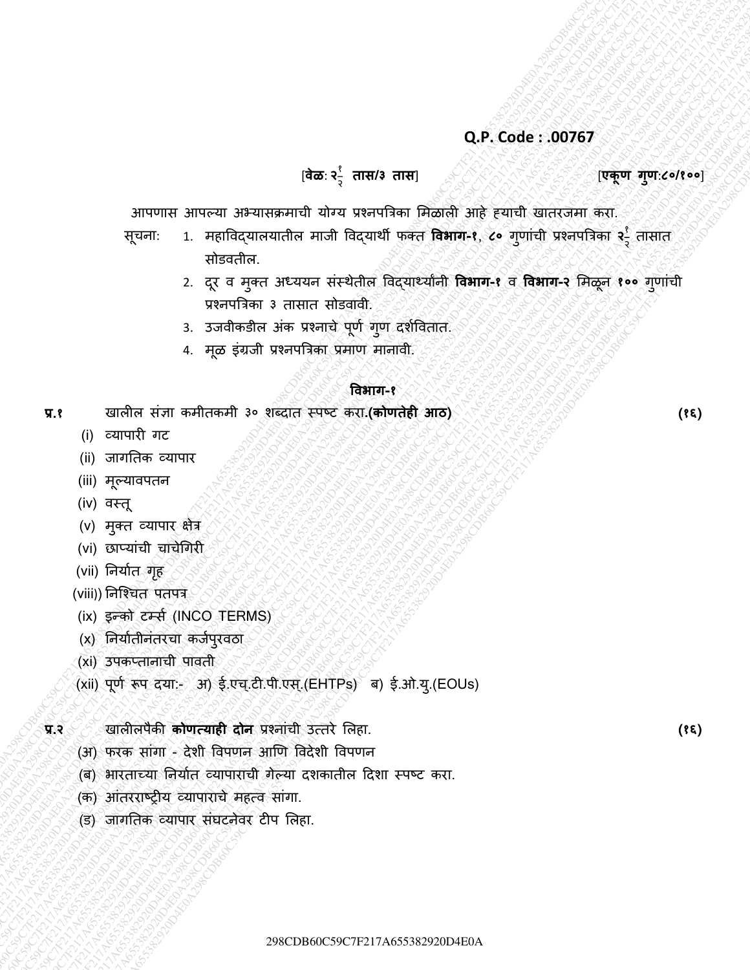#### [**वेळ**: **२** १ २

#### **तास/३ तास**] [**एकूण गणु** :**८०/१००**]

आपणास आपल्या अभ्यासक्रमाची योग्य प्रश्नपत्रिका मिळाली आहे ह्याची खातरजमा करा.

- Q.P. Code: 00767<br>
298CPF2 31429CF1 3229CF217A6538292920D4E0A298CDE60C59C7F217A6553833292D4E0A<br>
298CPF2 31428CD<br>
298CPF2 31428CD<br>
298CPF2 31428CD<br>
298CPF2 31428CD<br>
298CPF2 31428CD<br>
298CPF2 31428CD<br>
298CPF2 31428CD<br>
298CPF2 Q. P. Code:..00767<br>  $\frac{1}{2}$ <br>  $\frac{2}{3}$ <br>  $\frac{2}{3}$ <br>  $\frac{2}{3}$ <br>  $\frac{2}{3}$ <br>  $\frac{2}{3}$ <br>  $\frac{2}{3}$ <br>  $\frac{2}{3}$ <br>  $\frac{2}{3}$ <br>  $\frac{2}{3}$ <br>  $\frac{2}{3}$ <br>  $\frac{2}{3}$ <br>  $\frac{2}{3}$ <br>  $\frac{2}{3}$ <br>  $\frac{2}{3}$ <br>  $\frac{2}{3}$ <br>  $\frac{2}{3}$ <br>  $\frac{2}{3}$ <br>  $\frac$ Q.P. Code: .00767<br>
298CP1812 Simpler Simpler and Republic and Republic and Republic and Republic and Republic and Republic and Republic and Republic and Republic and Republic Simpler and Republic Simpler and Theoretical S 298CDB60C59C7F217A655382920D4E0A298CDB60C59C7F217A655382920D4E0A298CDB60C59C7F217A655382920D4E0A298CDB60C59C7F217A655382920D4E0A298CDB60C59C7F217A655382920D4E0A298CDB60C59C7F217A655382920D4E0A 2988CDF122202020D4E0229D4C67F217A65332920D4E0A2982920D4E0A29820D4E0A298CD59CD60C67F217A65332920D4E0A298CD60C57F217A65332920D4E0A298CD60C59C7F217A65332920D4E0A298CD60C57F217A65332920D4E0A29820D4E0A298CD59CDB60C57F217A65332 **298CDF60C66C59C7F217A655392920**C69C59C7F21345538392920D4E0A298CD60C59C7F217A655382920D4E0A2982920D4E0A298CD59CD42920D4E0A2982920D4E0A298CD59CD42920D4E0A2982920D4E0A2982920D4E0A2982920D4E0A2982920CD59CD42920D4E0A2982920CD 2)  $\frac{1}{2}$   $\frac{1}{2}$   $\frac{1}{2}$   $\frac{1}{2}$   $\frac{1}{2}$   $\frac{1}{2}$   $\frac{1}{2}$   $\frac{1}{2}$   $\frac{1}{2}$   $\frac{1}{2}$   $\frac{1}{2}$   $\frac{1}{2}$   $\frac{1}{2}$   $\frac{1}{2}$   $\frac{1}{2}$   $\frac{1}{2}$   $\frac{1}{2}$   $\frac{1}{2}$   $\frac{1}{2}$   $\frac{1}{2}$   $\frac{1}{2}$   $\frac{1}{2}$ 2)  $\frac{1}{2}$   $\frac{1}{2}$   $\frac{1}{2}$   $\frac{1}{2}$   $\frac{1}{2}$   $\frac{1}{2}$   $\frac{1}{2}$   $\frac{1}{2}$   $\frac{1}{2}$   $\frac{1}{2}$   $\frac{1}{2}$   $\frac{1}{2}$   $\frac{1}{2}$   $\frac{1}{2}$   $\frac{1}{2}$   $\frac{1}{2}$   $\frac{1}{2}$   $\frac{1}{2}$   $\frac{1}{2}$   $\frac{1}{2}$   $\frac{1}{2}$   $\frac{1}{2}$ 2)  $\frac{1}{2}$   $\frac{1}{2}$   $\frac{1}{2}$   $\frac{1}{2}$   $\frac{1}{2}$   $\frac{1}{2}$   $\frac{1}{2}$   $\frac{1}{2}$   $\frac{1}{2}$   $\frac{1}{2}$   $\frac{1}{2}$   $\frac{1}{2}$   $\frac{1}{2}$   $\frac{1}{2}$   $\frac{1}{2}$   $\frac{1}{2}$   $\frac{1}{2}$   $\frac{1}{2}$   $\frac{1}{2}$   $\frac{1}{2}$   $\frac{1}{2}$   $\frac{1}{2}$ 2)  $\frac{1}{2}$   $\frac{1}{2}$   $\frac{1}{2}$   $\frac{1}{2}$   $\frac{1}{2}$   $\frac{1}{2}$   $\frac{1}{2}$   $\frac{1}{2}$   $\frac{1}{2}$   $\frac{1}{2}$   $\frac{1}{2}$   $\frac{1}{2}$   $\frac{1}{2}$   $\frac{1}{2}$   $\frac{1}{2}$   $\frac{1}{2}$   $\frac{1}{2}$   $\frac{1}{2}$   $\frac{1}{2}$   $\frac{1}{2}$   $\frac{1}{2}$   $\frac{1}{2}$ 2)  $\frac{1}{2}$   $\frac{1}{2}$   $\frac{1}{2}$   $\frac{1}{2}$   $\frac{1}{2}$   $\frac{1}{2}$   $\frac{1}{2}$   $\frac{1}{2}$   $\frac{1}{2}$   $\frac{1}{2}$   $\frac{1}{2}$   $\frac{1}{2}$   $\frac{1}{2}$   $\frac{1}{2}$   $\frac{1}{2}$   $\frac{1}{2}$   $\frac{1}{2}$   $\frac{1}{2}$   $\frac{1}{2}$   $\frac{1}{2}$   $\frac{1}{2}$   $\frac{1}{2}$ 2)  $\frac{1}{2}$   $\frac{1}{2}$   $\frac{1}{2}$   $\frac{1}{2}$   $\frac{1}{2}$   $\frac{1}{2}$   $\frac{1}{2}$   $\frac{1}{2}$   $\frac{1}{2}$   $\frac{1}{2}$   $\frac{1}{2}$   $\frac{1}{2}$   $\frac{1}{2}$   $\frac{1}{2}$   $\frac{1}{2}$   $\frac{1}{2}$   $\frac{1}{2}$   $\frac{1}{2}$   $\frac{1}{2}$   $\frac{1}{2}$   $\frac{1}{2}$   $\frac{1}{2}$ 298CDB60C59C7F217A655382920D4E0A298CDB60C59C7F217A655382920D4E0A298CDB60C59C7F217A655382920D4E0A298CDB60C59C7F217A655382920D4E0A298CDB60C59C7F217A655382920D4E0A298CDB60C59C7F217A655382920D4E0A Q.P. Code: .00763<br>
298CPE 298CBC 3928638388 2928 COMP and included the inclusion of the inclusion of the inclusion of the inclusion of the inclusion of the inclusion of the inclusion of the inclusion of the inclusion of t 298CDB60C59C7F217A655382920D4E0A298CDB60C59C7F217A655382920D4E0A298CDB60C59C7F217A655382920D4E0A298CDB60C59C7F217A655382920D4E0A298CDB60C59C7F217A655382920D4E0A298CDB60C59C7F217A655382920D4E0A 298CDB612829220D42829220D4282920D4282920D4282920D42824920000C59C7F217A655382920D42920D42920D429220D429220D429220D429220D429220D429220D429220D429220D429220D429220D429220D429220D429220D429220D429220D429220D42922020202020202 298CDB6122922920D4E0A298CDB60C59C7F217A655382920D4E0A298CDB60C59C07F217A655382920D4E0A298CDB60C59CDB60C59C7F217A655382920D4E0A298CDB60C59CDB60C59C7F217A655382920D4E0A298CDB60C59CDB60C59CDB60C59CDB60C59CDB60C59CDB60C59CDB60 298CD60E5.007657<br>
298CD626C59C07F217A65382920D4E0A298CD4E0A298CDB60C59CD60C59C7F217A65382920D4E0A298CD60C69C7F217A65332920D4E0A298CD80C59C7F217A65332920D4E0A298CDB60C69C7F217A65332920D4E0A298CDB60C59C7F217A65382920D4E0A29 298CDB60C59C7F217A655382920D4E0A298CDB60C59C7F217A655382920D4E0A298CDB60C59C7F217A655382920D4E0A298CDB60C59C7F217A655382920D4E0A298CDB60C59C7F217A655382920D4E0A298CDB60C59C7F217A655382920D4E0A 298CDB63382920D4E0A298CDB60C59C7F217A653382920D4E0A298CDB60C59C7F217A653382920D4E0A298CD4E0A298CD4E0A298CD4E0A298CD4E0A298CD4E0A298CD4E0A298CD4E0A298CD4E0A298CD4E0A298CD4E0A298CD4E0A298CD4E0A298CD4E0A298CD4E0A298CD4E0A298 सूचनाः 1. महाविद्**यालयातील माजी विद्**यार्थी फक्त **विभाग-१**, **८०** गुणांची प्रश्नपत्रिका २-्रै २ तासात सोडितील.
	- 2. दूर व मुक्त अध्ययन संस्थेतील विद्यार्थ्यानी **विभाग-१** व **विभाग-२** मिळून १०० गुणांची प्रश्नपत्रिका ३ तासात सोडवावी.
	- 3. उजवीकडील अंक प्रश्नाचे पूर्ण गुण दर्शवितात.
	- 4. मूळ इंग्रजी प्रश्नपत्रिका प्रमाण मानावी.

#### **ववभाग-१**

- **प्र.१** खालील सांज्ञा कमीतकमी ३० र्ब्दात स्पष्ट करा**.(कोणतेही आठ) (१६)**
	- (i) व्यापारी गट
	- (ii) जागततक व्यापार
	- (iii) मूल्यावपतन
	- (iv) वस्तू
	- (v) मुक्त व्यापार क्षेत्र
	- (vi) छाप्यांची चाचेगिरी
	- (vii) निर्यात<sub>्</sub>गृह
	- (viii)) निश्चित पतपत्र
	- (ix) इन्को टर्म्स (INCO TERMS)
	- (x) निर्यातीनंतरचा कर्जपुरवठा
	- (xi) उपकप्तानाची पावती
	- (xii) पूर्ण रूप दया:- अ) ई.एच्.टी.पी.एस्.(EHTPs) ब) ई.ओ.यु.(EOUs)

#### **प्र.२** खालीलपȰकी **कोणत्याही दोन** प्रश्नाांची उत्तरȯ मलहा. **(१६)**

- (अ) फरक सांगा देशी विपणन आणि विदेशी विपणन
- (ब) भारताच्या तनयाणत व्यापाराची गȯल्या दर्कातील ददर्ा स्पष्ट करा.
- (क) आांतरराष्रीय व्यापाराचȯ महत्ि साांगा.
- (ड) जागतिक व्यापार संघटनेवर टीप लिहा.

298CDB60C59C7F217A655382920D4E0A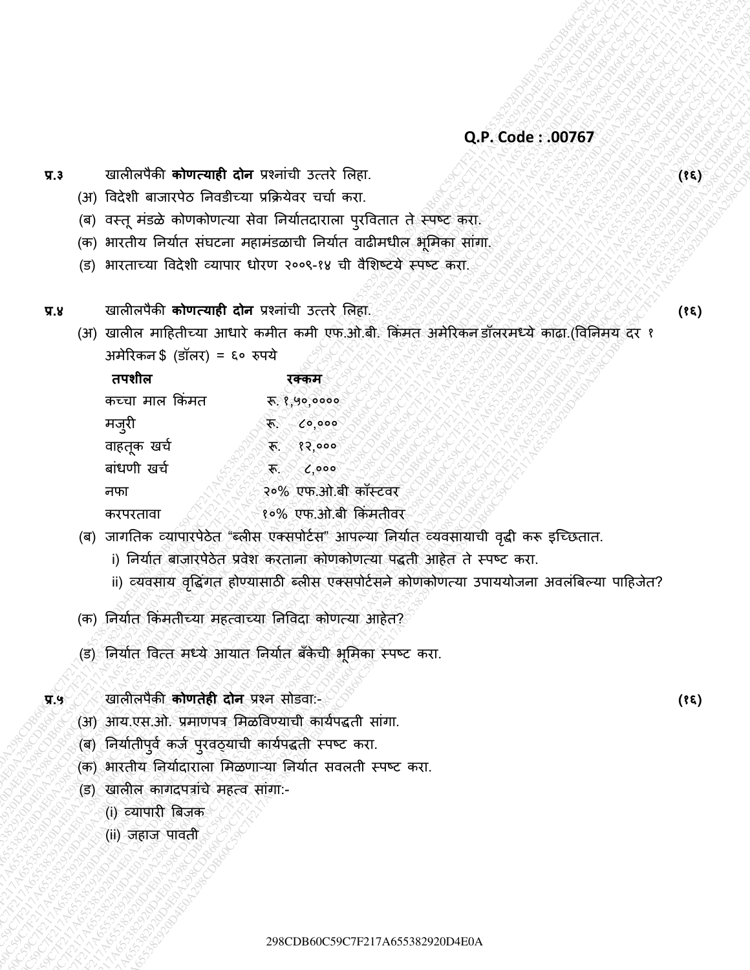- (अ) विदेशी बाजारपेठ निवडीच्या प्रक्रियेवर चर्चा करा.
- (ब) वस्तू मंडळे कोणकोणत्या सेवा निर्यातदाराला पुरवितात ते स्पष्ट करा.
- (क) भारतीय निर्यात संघटना महामंडळाची निर्यात वाढीमधील भूमिका सांगा.
- (ड) भारताच्या विदेशी व्यापार धोरण २००९-१४ ची वैशिष्टये स्पष्ट करा.
- प्र.४ खालीलपैकी **कोणत्याही दोन** प्रश्नांची उत्तर लिहा. २९२० २२२ को २२२ में २२२ वर्ष २२२ वर्ष (१६)
	- (अ) खालील माहितीच्या आधारे कमीत कमी एफ.ओ.बी. किमत अमेरिकन डॉलरमध्ये काढा.(विनिमय दर १ अमेरिकन \$ (डॉलर) = ६० रुपये

|         | Q.P. Code: .00767                                                                            |      |  |
|---------|----------------------------------------------------------------------------------------------|------|--|
| $\P$ .3 | खालीलपैकी कोणत्याही दोन प्रश्नांची उत्तरे लिहा.                                              | (35) |  |
|         | (अ) विदेशी बाजारपेठ निवडीच्या प्रक्रियेवर चर्चा करा.                                         |      |  |
|         | वस्तू मंडळे कोणकोणत्या सेवा निर्यातदाराला पुरवितात ते स्पष्ट करा.<br>(ब)                     |      |  |
|         | (क) भारतीय निर्यात संघटना महामंडळाची निर्यात वाढीमधील भूमिका सांगा.                          |      |  |
|         | भारताच्या विदेशी व्यापार धोरण २००९-१४ ची वैशिष्टये स्पष्ट करा.<br>(ਤ)                        |      |  |
| प्र.४   | खालीलपैकी <b>कोणत्याही दोन</b> प्रश्नांची उत्तरे लिहा.                                       | (38) |  |
|         | (अ) खालील माहितीच्या आधारे कमीत कमी एफ.ओ.बी. किंमत अमेरिकन डॉलरमध्ये काढा.(विनिमय दर १       |      |  |
|         | अमेरिकन \$ (डॉलर) = ६० रुपये                                                                 |      |  |
|         | तपशील<br>रक्कम                                                                               |      |  |
|         | कच्चा माल किंमत<br>रू. १,५०,००००                                                             |      |  |
|         | मजुरी<br>$x^2 - 50000$                                                                       |      |  |
|         | वाहतूक खर्च<br>$x - 82,000$                                                                  |      |  |
|         | बांधणी खर्च<br>$\sqrt[3]{6}$ , 000                                                           |      |  |
|         | २०% एफ.ओ.बी कॉस्टवर<br>नफा                                                                   |      |  |
|         | १०% एफ.ओ.बी किंमतीवर<br>करपरतावा                                                             |      |  |
|         | (ब) जागतिक व्यापारपेठेत "ब्लीस एक्सपोर्टस" आपल्या निर्यात व्यवसायाची वृद्धी करू इच्छितात.    |      |  |
|         | i) निर्यात बाजारपेठेत प्रवेश करताना कोणकोणत्या पद्धती आहेत ते स्पष्ट करा.                    |      |  |
|         | ii) व्यवसाय वृद्धिंगत होण्यासाठी ब्लीस एक्सपोर्टसने कोणकोणत्या उपाययोजना अवलंबिल्या पाहिजेत? |      |  |
|         | (क) निर्यात किमतीच्या महत्वाच्या निविदा कोणत्या आहेत?                                        |      |  |
|         | (ड) निर्यात वित्त मध्ये आयात निर्यात बँकेची भूमिका स्पष्ट करा.                               |      |  |
| $\P$ .9 | खालीलपैकी <b>कोणतेही दोन</b> प्रश्न सोडवा:-                                                  | (38) |  |
|         | (अ) आय.एस.ओ. प्रमाणपत्र मिळविण्याची कार्यपद्धती सांगा.                                       |      |  |
|         | (ब) निर्यातीपुर्व कर्ज पुरवठ्याची कार्यपद्धती स्पष्ट करा.                                    |      |  |
|         | (क) भारतीय निर्यादाराला मिळणाऱ्या निर्यात सवलती स्पष्ट करा.                                  |      |  |
|         | (ड) खालील कागदपत्रांचे महत्व सांगा:-                                                         |      |  |
|         | (i) व्यापारी बिजक                                                                            |      |  |
|         | (ii) जहाज पावती                                                                              |      |  |
|         |                                                                                              |      |  |
|         |                                                                                              |      |  |
|         |                                                                                              |      |  |
|         | 298CDB60C59C7F217A655382920D4E0A                                                             |      |  |
|         |                                                                                              |      |  |

- (ब) जागतिक व्यापारपेठेत "ब्लीस एक्सपोर्टस" आपल्या निर्यात व्यवसायाची वृद्धी करू इच्छितात.
	- i) निर्यात बाजारपेठेत प्रवेश करताना कोणकोणत्या पद्धती आहेत ते स्पष्ट करा.
	- ii) व्यवसाय वृद्धिगत होण्यासाठी ब्लीस एक्सपोर्टसने कोणकोणत्या उपाययोजना अवलंबिल्या पाहिजेत?
- (क) निर्यात किंमतीच्या महत्वाच्या निविदा कोणत्या आहेत?
- (ड) निर्यात वित्त मध्ये आयात निर्यात बँकेची भूमिका स्पष्ट करा.
- **प्र.५** खालीलपȰकी **कोणतेही दोन** प्रश्न सोडिा:- **(१६)**
	- (अ) आय.एस.ओ. प्रमाणपत्र मिळविण्याची कार्यपद्धती सांगा.
	- (ब) निर्यातीपुर्व कर्ज पुरवठ्याची कार्यपद्धती स्पष्ट करा.
	- (क) भारतीय निर्यादाराला मिळणाऱ्या निर्यात सवलती स्पष्ट करा.
	- (ड) खालील कागदपत्रांचे महत्व सांगा:-
		- (i) व्यापारी त्रबजक
		- (ii) जहाज पावती